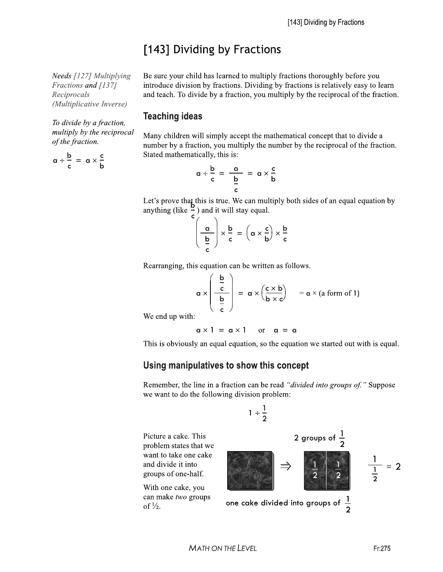## [143] Dividing by Fractions

Needs [127] Multiplying Fractions and [137] Reciprocals (Multiplicative Inverse)

To divide by a fraction, multiply by the reciprocal of the fraction.

 $a \div \frac{b}{c} = a \times \frac{c}{b}$ 

Be sure your child has learned to multiply fractions thoroughly before you introduce division by fractions. Dividing by fractions is relatively easy to learn and teach. To divide by a fraction, you multiply by the reciprocal of the fraction.

## **Teaching ideas**

Many children will simply accept the mathematical concept that to divide a number by a fraction, you multiply the number by the reciprocal of the fraction. Stated mathematically, this is:

$$
\alpha \div \frac{b}{c} = \frac{\frac{b}{b}}{\frac{b}{c}} = \alpha \times \frac{c}{b}
$$

Let's prove that this is true. We can multiply both sides of an equal equation by anything (like  $\frac{b}{c}$ ) and it will stay equal.

$$
\left(\frac{\mathbf{a}}{\mathbf{b}}\right) \times \frac{\mathbf{b}}{\mathbf{c}} = \left(\mathbf{a} \times \frac{\mathbf{c}}{\mathbf{b}}\right) \times \frac{\mathbf{b}}{\mathbf{c}}
$$

Rearranging, this equation can be written as follows.

$$
\mathbf{a} \times \left( \begin{array}{c} \frac{\mathbf{b}}{\mathbf{c}} \\ \frac{\mathbf{b}}{\mathbf{c}} \end{array} \right) = \mathbf{a} \times \left( \frac{\mathbf{c} \times \mathbf{b}}{\mathbf{b} \times \mathbf{c}} \right) = \mathbf{a} \times (\text{a form of 1})
$$

We end up with:

With one cake,

of  $\frac{1}{2}$ .

$$
\alpha \times 1 = \alpha \times 1 \quad \text{or} \quad \alpha = \alpha
$$

This is obviously an equal equation, so the equation we started out with is equal.

## Using manipulatives to show this concept

Remember, the line in a fraction can be read "divided into groups of." Suppose we want to do the following division problem: